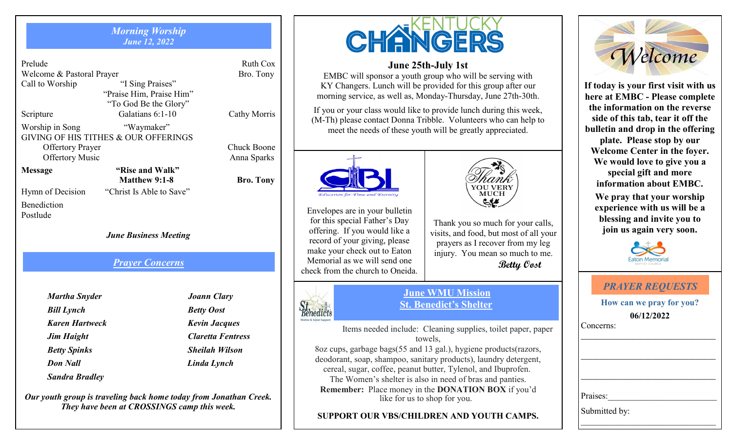#### *Morning Worship June 12, 2022*

| Prelude                              |                          | Ruth Cox           |  |  |
|--------------------------------------|--------------------------|--------------------|--|--|
| Welcome & Pastoral Prayer            | Bro. Tony                |                    |  |  |
| Call to Worship                      | "I Sing Praises"         |                    |  |  |
|                                      | "Praise Him, Praise Him" |                    |  |  |
|                                      |                          |                    |  |  |
| Scripture                            | Galatians 6:1-10         | Cathy Morris       |  |  |
| Worship in Song                      | "Waymaker"               |                    |  |  |
| GIVING OF HIS TITHES & OUR OFFERINGS |                          |                    |  |  |
| <b>Offertory Prayer</b>              |                          | <b>Chuck Boone</b> |  |  |
| <b>Offertory Music</b>               |                          | Anna Sparks        |  |  |
| <b>Message</b>                       | "Rise and Walk"          |                    |  |  |

**Matthew 9:1-8 Bro. Tony** Hymn of Decision "Christ Is Able to Save"

Benediction Postlude

*June Business Meeting*

#### *Prayer Concerns*

| Martha Snyder         |
|-----------------------|
| <b>Bill Lynch</b>     |
| <b>Karen Hartweck</b> |
| <b>Jim Haight</b>     |
| <b>Betty Spinks</b>   |
| Don Nall              |
| <b>Sandra Bradley</b> |

*Martha Snyder Joann Clary Betty Oost Karen Hartweck Kevin Jacques Jim Haight Claretta Fentress Betty Spinks Sheilah Wilson Don Nall Linda Lynch* 

*Our youth group is traveling back home today from Jonathan Creek. They have been at CROSSINGS camp this week.* 

# CHANGER

#### **June 25th-July 1st**

EMBC will sponsor a youth group who will be serving with KY Changers. Lunch will be provided for this group after our morning service, as well as, Monday-Thursday, June 27th-30th.

If you or your class would like to provide lunch during this week, (M-Th) please contact Donna Tribble. Volunteers who can help to meet the needs of these youth will be greatly appreciated.



Envelopes are in your bulletin for this special Father's Day offering. If you would like a record of your giving, please make your check out to Eaton Memorial as we will send one check from the church to Oneida.

Benedicts



Thank you so much for your calls, visits, and food, but most of all your prayers as I recover from my leg injury. You mean so much to me.  **Betty Oost**

**June WMU Mission St. Benedict's Shelter**

Items needed include: Cleaning supplies, toilet paper, paper towels,

8oz cups, garbage bags(55 and 13 gal.), hygiene products(razors, deodorant, soap, shampoo, sanitary products), laundry detergent, cereal, sugar, coffee, peanut butter, Tylenol, and Ibuprofen. The Women's shelter is also in need of bras and panties. **Remember:** Place money in the **DONATION BOX** if you'd like for us to shop for you.

#### **SUPPORT OUR VBS/CHILDREN AND YOUTH CAMPS.**



**If today is your first visit with us here at EMBC - Please complete the information on the reverse side of this tab, tear it off the bulletin and drop in the offering plate. Please stop by our Welcome Center in the foyer. We would love to give you a special gift and more information about EMBC.**

**We pray that your worship experience with us will be a blessing and invite you to join us again very soon.**



| <b>PRAYER REQUESTS</b>                 |
|----------------------------------------|
| How can we pray for you?<br>06/12/2022 |
| Concerns:                              |
|                                        |
|                                        |
|                                        |
| Praises:                               |
| Submitted by:                          |